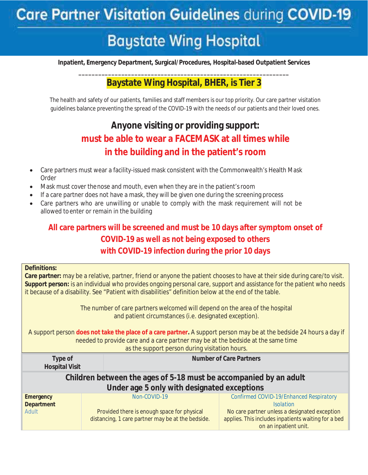# **Baystate Wing Hospital**

**Inpatient, Emergency Department, Surgical/Procedures, Hospital-based Outpatient Services** 

#### **\_\_\_\_\_\_\_\_\_\_\_\_\_\_\_\_\_\_\_\_\_\_\_\_\_\_\_\_\_\_\_\_\_\_\_\_\_\_\_\_\_\_\_\_\_\_\_\_\_\_\_\_\_\_\_\_\_\_\_\_\_\_\_\_ Baystate Wing Hospital, BHER, is Tier 3**

The health and safety of our patients, families and staff members is our top priority. Our care partner visitation guidelines balance preventing the spread of the COVID-19 with the needs of our patients and their loved ones.

## **Anyone visiting or providing support: must be able to wear a FACEMASK at all times while in the building and in the patient's room**

- Care partners must wear a facility-issued mask consistent with the Commonwealth's Health Mask Order
- x Mask must cover the nose and mouth, even when they are in the patient's room
- If a care partner does not have a mask, they will be given one during the screening process
- Care partners who are unwilling or unable to comply with the mask requirement will not be allowed to enter or remain in the building

### **All care partners will be screened and must be 10 days after symptom onset of COVID-19 as well as not being exposed to others with COVID-19 infection during the prior 10 days**

| <b>Definitions:</b><br>Care partner: may be a relative, partner, friend or anyone the patient chooses to have at their side during care/to visit.<br>Support person: is an individual who provides ongoing personal care, support and assistance for the patient who needs<br>it because of a disability. See "Patient with disabilities" definition below at the end of the table.<br>The number of care partners welcomed will depend on the area of the hospital |                                                               |                                                                                                              |  |  |  |
|---------------------------------------------------------------------------------------------------------------------------------------------------------------------------------------------------------------------------------------------------------------------------------------------------------------------------------------------------------------------------------------------------------------------------------------------------------------------|---------------------------------------------------------------|--------------------------------------------------------------------------------------------------------------|--|--|--|
| and patient circumstances (i.e. designated exception).<br>A support person does not take the place of a care partner. A support person may be at the bedside 24 hours a day if<br>needed to provide care and a care partner may be at the bedside at the same time<br>as the support person during visitation hours.                                                                                                                                                |                                                               |                                                                                                              |  |  |  |
| Type of<br><b>Hospital Visit</b>                                                                                                                                                                                                                                                                                                                                                                                                                                    |                                                               | <b>Number of Care Partners</b>                                                                               |  |  |  |
| Children between the ages of 5-18 must be accompanied by an adult                                                                                                                                                                                                                                                                                                                                                                                                   |                                                               |                                                                                                              |  |  |  |
| Under age 5 only with designated exceptions                                                                                                                                                                                                                                                                                                                                                                                                                         |                                                               |                                                                                                              |  |  |  |
| <b>Emergency</b><br><b>Department</b><br>Adult                                                                                                                                                                                                                                                                                                                                                                                                                      | $Non-COVID-19$<br>Provided there is enough space for physical | Confirmed COVID-19/Enhanced Respiratory<br><b>Isolation</b><br>No care partner unless a designated exception |  |  |  |
|                                                                                                                                                                                                                                                                                                                                                                                                                                                                     | distancing, 1 care partner may be at the bedside.             | applies. This includes inpatients waiting for a bed<br>on an inpatient unit.                                 |  |  |  |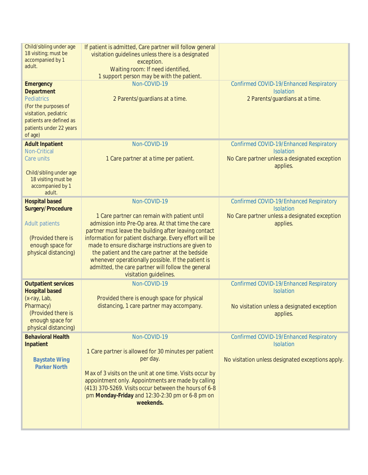| Child/sibling under age<br>18 visiting; must be<br>accompanied by 1<br>adult.<br><b>Emergency</b>                                                        | If patient is admitted, Care partner will follow general<br>visitation guidelines unless there is a designated<br>exception.<br>Waiting room: If need identified,<br>1 support person may be with the patient.<br>Non-COVID-19                                                                                                                                                                                                                                       | Confirmed COVID-19/Enhanced Respiratory                                                                                |
|----------------------------------------------------------------------------------------------------------------------------------------------------------|----------------------------------------------------------------------------------------------------------------------------------------------------------------------------------------------------------------------------------------------------------------------------------------------------------------------------------------------------------------------------------------------------------------------------------------------------------------------|------------------------------------------------------------------------------------------------------------------------|
| <b>Department</b><br><b>Pediatrics</b><br>(For the purposes of<br>visitation, pediatric<br>patients are defined as<br>patients under 22 years<br>of age) | 2 Parents/guardians at a time.                                                                                                                                                                                                                                                                                                                                                                                                                                       | <b>Isolation</b><br>2 Parents/guardians at a time.                                                                     |
| <b>Adult Inpatient</b><br><b>Non-Critical</b><br>Care units                                                                                              | Non-COVID-19<br>1 Care partner at a time per patient.                                                                                                                                                                                                                                                                                                                                                                                                                | Confirmed COVID-19/Enhanced Respiratory<br><b>Isolation</b><br>No Care partner unless a designated exception           |
| Child/sibling under age<br>18 visiting must be<br>accompanied by 1<br>adult.                                                                             |                                                                                                                                                                                                                                                                                                                                                                                                                                                                      | applies.                                                                                                               |
| <b>Hospital based</b>                                                                                                                                    | Non-COVID-19                                                                                                                                                                                                                                                                                                                                                                                                                                                         | Confirmed COVID-19/Enhanced Respiratory                                                                                |
| Surgery/Procedure<br><b>Adult patients</b><br>(Provided there is<br>enough space for<br>physical distancing)                                             | 1 Care partner can remain with patient until<br>admission into Pre-Op area. At that time the care<br>partner must leave the building after leaving contact<br>information for patient discharge. Every effort will be<br>made to ensure discharge instructions are given to<br>the patient and the care partner at the bedside<br>whenever operationally possible. If the patient is<br>admitted, the care partner will follow the general<br>visitation guidelines. | <b>Isolation</b><br>No Care partner unless a designated exception<br>applies.                                          |
| <b>Outpatient services</b><br><b>Hospital based</b><br>(x-ray, Lab,<br>Pharmacy)<br>(Provided there is<br>enough space for<br>physical distancing)       | Non-COVID-19<br>Provided there is enough space for physical<br>distancing, 1 care partner may accompany.                                                                                                                                                                                                                                                                                                                                                             | Confirmed COVID-19/Enhanced Respiratory<br><b>Isolation</b><br>No visitation unless a designated exception<br>applies. |
| <b>Behavioral Health</b><br>Inpatient<br><b>Baystate Wing</b><br><b>Parker North</b>                                                                     | Non-COVID-19<br>1 Care partner is allowed for 30 minutes per patient<br>per day.<br>Max of 3 visits on the unit at one time. Visits occur by<br>appointment only. Appointments are made by calling<br>(413) 370-5269. Visits occur between the hours of 6-8<br>pm Monday-Friday and 12:30-2:30 pm or 6-8 pm on<br>weekends.                                                                                                                                          | Confirmed COVID-19/Enhanced Respiratory<br><b>Isolation</b><br>No visitation unless designated exceptions apply.       |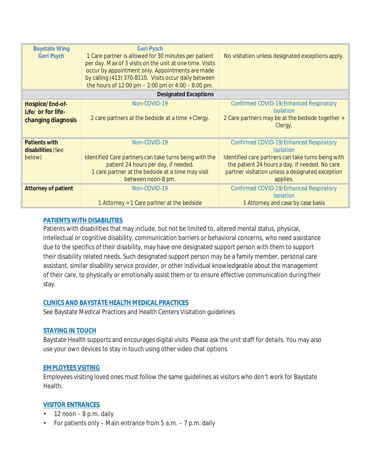| <b>Baystate Wing</b><br><b>Geri Psych</b>                   | <b>Geri Pysch</b><br>1 Care partner is allowed for 30 minutes per patient<br>per day. Max of 3 visits on the unit at one time. Visits<br>occur by appointment only. Appointments are made<br>by calling (413) 370-8110. Visits occur daily between<br>the hours of $12:00 \text{ pm} - 2:00 \text{ pm}$ or $4:00 - 8:00 \text{ pm}$ . | No visitation unless designated exceptions apply.                                                                                                                                                                                   |  |  |
|-------------------------------------------------------------|---------------------------------------------------------------------------------------------------------------------------------------------------------------------------------------------------------------------------------------------------------------------------------------------------------------------------------------|-------------------------------------------------------------------------------------------------------------------------------------------------------------------------------------------------------------------------------------|--|--|
| <b>Designated Exceptions</b>                                |                                                                                                                                                                                                                                                                                                                                       |                                                                                                                                                                                                                                     |  |  |
| Hospice/End-of-<br>Life/ or for life-<br>changing diagnosis | Non-COVID-19<br>2 care partners at the bedside at a time + Clergy.                                                                                                                                                                                                                                                                    | Confirmed COVID-19/Enhanced Respiratory<br><i>Isolation</i><br>2 Care partners may be at the bedside together +<br>Clergy.                                                                                                          |  |  |
| <b>Patients with</b><br>disabilities (See<br>below)         | Non-COVID-19<br>Identified Care partners can take turns being with the<br>patient 24 hours per day, if needed.<br>1 care partner at the bedside at a time may visit<br>between noon-8 pm.                                                                                                                                             | Confirmed COVID-19/Enhanced Respiratory<br><i>Isolation</i><br>Identified care partners can take turns being with<br>the patient 24 hours a day, if needed. No care<br>partner visitation unless a designated exception<br>applies. |  |  |
| <b>Attorney of patient</b>                                  | Non-COVID-19<br>1 Attorney + 1 Care partner at the bedside                                                                                                                                                                                                                                                                            | Confirmed COVID-19/Enhanced Respiratory<br><i>Isolation</i><br>1 Attorney and case by case basis                                                                                                                                    |  |  |

#### **PATIENTS WITH DISABILITIES**

Patients with disabilities that may include, but not be limited to, altered mental status, physical, intellectual or cognitive disability, communication barriers or behavioral concerns, *who need assistance due to the specifics of their disability*, may have one designated support person with them to support their disability related needs. Such designated support person may be a family member, personal care assistant, similar disability service provider, or other individual knowledgeable about the management of their care, to physically or emotionally assist them or to ensure effective communication during their stay.

#### **CLINICS AND BAYSTATE HEALTH MEDICAL PRACTICES**

See Baystate Medical Practices and Health Centers Visitation guidelines

#### **STAYING IN TOUCH**

Baystate Health supports and encourages digital visits. Please ask the unit staff for details. You may also use your own devices to stay in touch using other video chat options.

#### **EMPLOYEES VSITING**

Employees visiting loved ones must follow the same guidelines as visitors who don't work for Baystate Health.

#### **VISITOR ENTRANCES**

- $\cdot$  12 noon 8 p.m. daily
- For patients only Main entrance from 5 a.m. 7 p.m. daily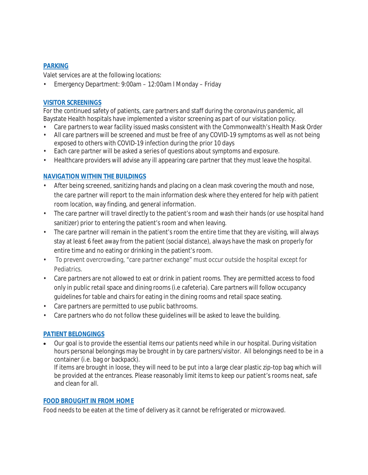#### **PARKING**

Valet services are at the following locations:

• Emergency Department: 9:00am – 12:00am l Monday – Friday

#### **VISITOR SCREENINGS**

For the continued safety of patients, care partners and staff during the coronavirus pandemic, all Baystate Health hospitals have implemented a visitor screening as part of our visitation policy.

- Care partners to wear facility issued masks consistent with the Commonwealth's Health Mask Order
- All care partners will be screened and must be free of any COVID-19 symptoms as well as not being exposed to others with COVID-19 infection during the prior 10 days
- Each care partner will be asked a series of questions about symptoms and exposure.
- Healthcare providers will advise any ill appearing care partner that they must leave the hospital.

#### **NAVIGATION WITHIN THE BUILDINGS**

- After being screened, sanitizing hands and placing on a clean mask covering the mouth and nose, the care partner will report to the main information desk where they entered for help with patient room location, way finding, and general information.
- The care partner will travel directly to the patient's room and wash their hands (or use hospital hand sanitizer) prior to entering the patient's room and when leaving.
- The care partner will remain in the patient's room the entire time that they are visiting, will always stay at least 6 feet away from the patient (social distance), always have the mask on properly for entire time and no eating or drinking in the patient's room.
- To prevent overcrowding, "care partner exchange" must occur outside the hospital except for **Pediatrics**
- Care partners are not allowed to eat or drink in patient rooms. They are permitted access to food only in public retail space and dining rooms (i.e cafeteria). Care partners will follow occupancy guidelines for table and chairs for eating in the dining rooms and retail space seating.
- Care partners are permitted to use public bathrooms.
- Care partners who do not follow these guidelines will be asked to leave the building.

#### **PATIENT BELONGINGS**

Our goal is to provide the essential items our patients need while in our hospital. During visitation hours personal belongings may be brought in by care partners/visitor. All belongings need to be in a container (i.e. bag or backpack).

If items are brought in loose, they will need to be put into a large clear plastic zip-top bag which will be provided at the entrances. Please reasonably limit items to keep our patient's rooms neat, safe and clean for all.

#### **FOOD BROUGHT IN FROM HOME**

Food needs to be eaten at the time of delivery as it cannot be refrigerated or microwaved.